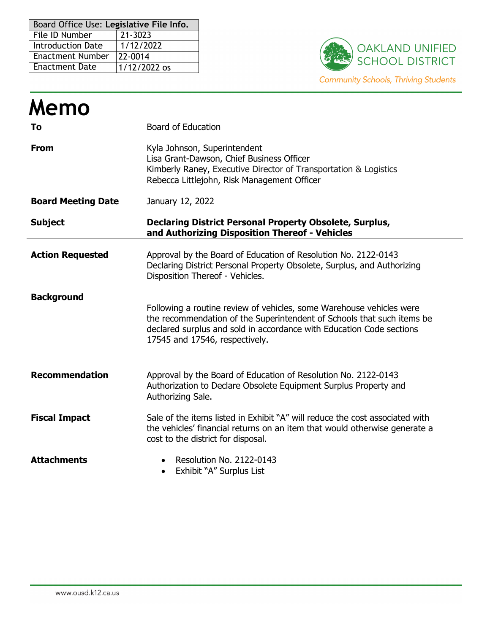| Board Office Use: Legislative File Info. |              |  |  |  |
|------------------------------------------|--------------|--|--|--|
| File ID Number                           | 21-3023      |  |  |  |
| <b>Introduction Date</b>                 | 1/12/2022    |  |  |  |
| <b>Enactment Number</b>                  | 22-0014      |  |  |  |
| <b>Enactment Date</b>                    | 1/12/2022 os |  |  |  |



| Memo                      |                                                                                                                                                                                                                                                          |  |  |  |  |
|---------------------------|----------------------------------------------------------------------------------------------------------------------------------------------------------------------------------------------------------------------------------------------------------|--|--|--|--|
| To                        | <b>Board of Education</b>                                                                                                                                                                                                                                |  |  |  |  |
| <b>From</b>               | Kyla Johnson, Superintendent<br>Lisa Grant-Dawson, Chief Business Officer<br>Kimberly Raney, Executive Director of Transportation & Logistics<br>Rebecca Littlejohn, Risk Management Officer                                                             |  |  |  |  |
| <b>Board Meeting Date</b> | January 12, 2022                                                                                                                                                                                                                                         |  |  |  |  |
| <b>Subject</b>            | <b>Declaring District Personal Property Obsolete, Surplus,</b><br>and Authorizing Disposition Thereof - Vehicles                                                                                                                                         |  |  |  |  |
| <b>Action Requested</b>   | Approval by the Board of Education of Resolution No. 2122-0143<br>Declaring District Personal Property Obsolete, Surplus, and Authorizing<br>Disposition Thereof - Vehicles.                                                                             |  |  |  |  |
| <b>Background</b>         | Following a routine review of vehicles, some Warehouse vehicles were<br>the recommendation of the Superintendent of Schools that such items be<br>declared surplus and sold in accordance with Education Code sections<br>17545 and 17546, respectively. |  |  |  |  |
| <b>Recommendation</b>     | Approval by the Board of Education of Resolution No. 2122-0143<br>Authorization to Declare Obsolete Equipment Surplus Property and<br>Authorizing Sale.                                                                                                  |  |  |  |  |
| <b>Fiscal Impact</b>      | Sale of the items listed in Exhibit "A" will reduce the cost associated with<br>the vehicles' financial returns on an item that would otherwise generate a<br>cost to the district for disposal.                                                         |  |  |  |  |
| <b>Attachments</b>        | Resolution No. 2122-0143<br>Exhibit "A" Surplus List<br>$\bullet$                                                                                                                                                                                        |  |  |  |  |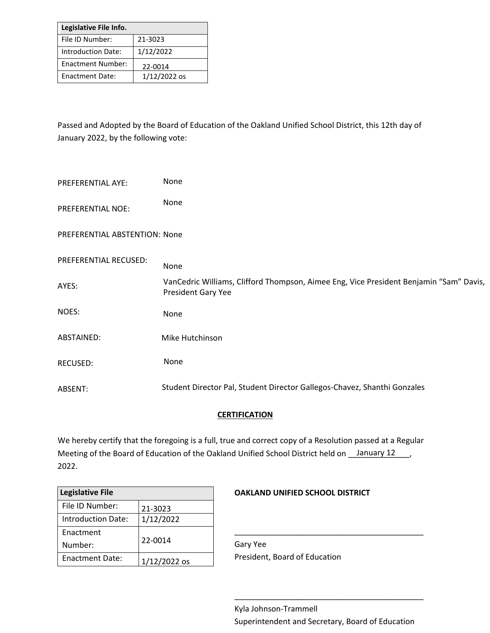| Legislative File Info.    |                |  |  |  |
|---------------------------|----------------|--|--|--|
| File ID Number:           | 21-3023        |  |  |  |
| <b>Introduction Date:</b> | 1/12/2022      |  |  |  |
| <b>Enactment Number:</b>  | 22-0014        |  |  |  |
| <b>Enactment Date:</b>    | $1/12/2022$ os |  |  |  |

Passed and Adopted by the Board of Education of the Oakland Unified School District, this 12th day of January 2022, by the following vote:

| PREFERENTIAL AYE:             | None                                                                                                                |
|-------------------------------|---------------------------------------------------------------------------------------------------------------------|
| <b>PREFERENTIAL NOE:</b>      | None                                                                                                                |
| PREFERENTIAL ABSTENTION: None |                                                                                                                     |
| PREFERENTIAL RECUSED:         | None                                                                                                                |
| AYES:                         | VanCedric Williams, Clifford Thompson, Aimee Eng, Vice President Benjamin "Sam" Davis,<br><b>President Gary Yee</b> |
| NOES:                         | None                                                                                                                |
| ABSTAINED:                    | Mike Hutchinson                                                                                                     |
| RECUSED:                      | None                                                                                                                |
| ABSENT:                       | Student Director Pal, Student Director Gallegos-Chavez, Shanthi Gonzales                                            |

## **CERTIFICATION**

We hereby certify that the foregoing is a full, true and correct copy of a Resolution passed at a Regular Meeting of the Board of Education of the Oakland Unified School District held on *\_\_\_\_\_* January 12 \_\_\_\_, 2022.

| <b>Legislative File</b> |                |  |  |  |
|-------------------------|----------------|--|--|--|
| File ID Number:         | 21-3023        |  |  |  |
| Introduction Date:      | 1/12/2022      |  |  |  |
| Enactment               | 22-0014        |  |  |  |
| Number:                 |                |  |  |  |
| <b>Enactment Date:</b>  | $1/12/2022$ os |  |  |  |

## **OAKLAND UNIFIED SCHOOL DISTRICT**

Gary Yee President, Board of Education

\_\_\_\_\_\_\_\_\_\_\_\_\_\_\_\_\_\_\_\_\_\_\_\_\_\_\_\_\_\_\_\_\_\_\_\_\_\_\_\_\_\_\_

\_\_\_\_\_\_\_\_\_\_\_\_\_\_\_\_\_\_\_\_\_\_\_\_\_\_\_\_\_\_\_\_\_\_\_\_\_\_\_\_\_\_\_